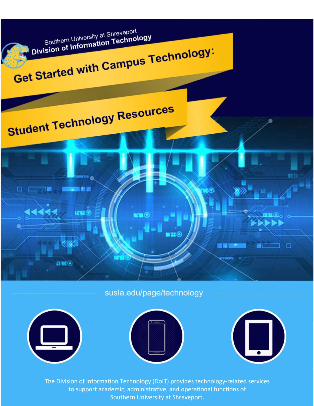

susla.edu/page/technology







The Division of Information Technology (DoIT) provides technology-related services to support academic, administrative, and operational functions of Southern University at Shreveport.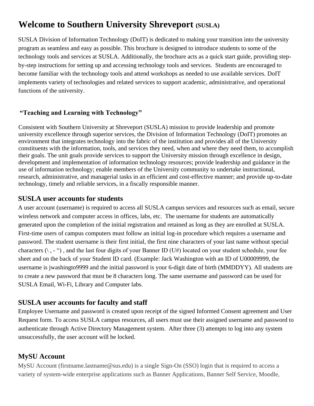# **Welcome to Southern University Shreveport (SUSLA)**

SUSLA Division of Information Technology (DoIT) is dedicated to making your transition into the university program as seamless and easy as possible. This brochure is designed to introduce students to some of the technology tools and services at SUSLA. Additionally, the brochure acts as a quick start guide, providing stepby-step instructions for setting up and accessing technology tools and services. Students are encouraged to become familiar with the technology tools and attend workshops as needed to use available services. DoIT implements variety of technologies and related services to support academic, administrative, and operational functions of the university.

## **"Teaching and Learning with Technology"**

Consistent with Southern University at Shreveport (SUSLA) mission to provide leadership and promote university excellence through superior services, the Division of Information Technology (DoIT) promotes an environment that integrates technology into the fabric of the institution and provides all of the University constituents with the information, tools, and services they need, when and where they need them, to accomplish their goals. The unit goals provide services to support the University mission through excellence in design, development and implementation of information technology resources; provide leadership and guidance in the use of information technology; enable members of the University community to undertake instructional, research, administrative, and managerial tasks in an efficient and cost-effective manner; and provide up-to-date technology, timely and reliable services, in a fiscally responsible manner.

## **SUSLA user accounts for students**

A user account (username) is required to access all SUSLA campus services and resources such as email, secure wireless network and computer access in offices, labs, etc. The username for students are automatically generated upon the completion of the initial registration and retained as long as they are enrolled at SUSLA. First-time users of campus computers must follow an initial log-in procedure which requires a username and password. The student username is their first initial, the first nine characters of your last name without special characters  $(\cdot, -\cdot)$ , and the last four digits of your Banner ID (U#) located on your student schedule, your fee sheet and on the back of your Student ID card. (Example: Jack Washington with an ID of U00009999, the username is jwashingto9999 and the initial password is your 6-digit date of birth (MMDDYY). All students are to create a new password that must be 8 characters long. The same username and password can be used for SUSLA Email, Wi-Fi, Library and Computer labs.

# **SUSLA user accounts for faculty and staff**

Employee Username and password is created upon receipt of the signed Informed Consent agreement and User Request form. To access SUSLA campus resources, all users must use their assigned username and password to authenticate through Active Directory Management system. After three (3) attempts to log into any system unsuccessfully, the user account will be locked.

# **MySU Account**

MySU Account (firstname.lastname@sus.edu) is a single Sign-On (SSO) login that is required to access a variety of system-wide enterprise applications such as Banner Applications, Banner Self Service, Moodle,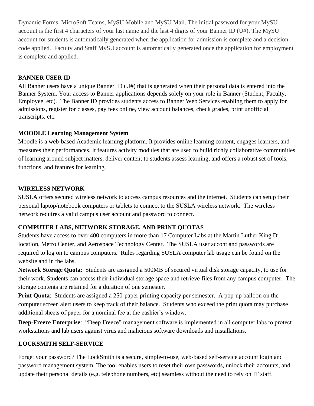Dynamic Forms, MicroSoft Teams, MySU Mobile and MySU Mail. The initial password for your MySU account is the first 4 characters of your last name and the last 4 digits of your Banner ID (U#). The MySU account for students is automatically generated when the application for admission is complete and a decision code applied. Faculty and Staff MySU account is automatically generated once the application for employment is complete and applied.

#### **BANNER USER ID**

All Banner users have a unique Banner ID (U#) that is generated when their personal data is entered into the Banner System. Your access to Banner applications depends solely on your role in Banner (Student, Faculty, Employee, etc). The Banner ID provides students access to Banner Web Services enabling them to apply for admissions, register for classes, pay fees online, view account balances, check grades, print unofficial transcripts, etc.

#### **MOODLE Learning Management System**

Moodle is a web-based Academic learning platform. It provides online learning content, engages learners, and measures their performances. It features activity modules that are used to build richly collaborative communities of learning around subject matters, deliver content to students assess learning, and offers a robust set of tools, functions, and features for learning.

#### **WIRELESS NETWORK**

SUSLA offers secured wireless network to access campus resources and the internet. Students can setup their personal laptop/notebook computers or tablets to connect to the SUSLA wireless network. The wireless network requires a valid campus user account and password to connect.

#### **COMPUTER LABS, NETWORK STORAGE, AND PRINT QUOTAS**

Students have access to over 400 computers in more than 17 Computer Labs at the Martin Luther King Dr. location, Metro Center, and Aerospace Technology Center. The SUSLA user accont and passwords are required to log on to campus computers. Rules regarding SUSLA computer lab usage can be found on the website and in the labs.

**Network Storage Quota**: Students are assigned a 500MB of secured virtual disk storage capacity, to use for their work. Students can access their individual storage space and retrieve files from any campus computer. The storage contents are retained for a duration of one semester.

**Print Quota:** Students are assigned a 250-paper printing capacity per semester. A pop-up balloon on the computer screen alert users to keep track of their balance. Students who exceed the print quota may purchase additional sheets of paper for a nominal fee at the cashier's window.

**Deep-Freeze Enterprise**: "Deep Freeze" management software is implemented in all computer labs to protect workstations and lab users against virus and malicious software downloads and installations.

#### **LOCKSMITH SELF-SERVICE**

Forget your password? The LockSmith is a secure, simple-to-use, web-based self-service account login and password management system. The tool enables users to reset their own passwords, unlock their accounts, and update their personal details (e.g. telephone numbers, etc) seamless without the need to rely on IT staff.